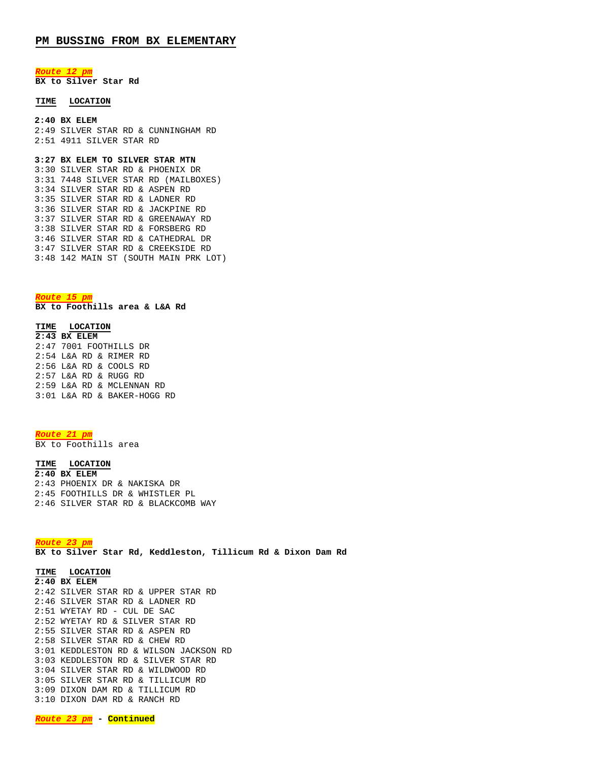*Route 12 pm*

**BX to Silver Star Rd**

## **TIME LOCATION**

#### **2:40 BX ELEM**

2:49 SILVER STAR RD & CUNNINGHAM RD 2:51 4911 SILVER STAR RD

## **3:27 BX ELEM TO SILVER STAR MTN**

3:30 SILVER STAR RD & PHOENIX DR 3:31 7448 SILVER STAR RD (MAILBOXES) 3:34 SILVER STAR RD & ASPEN RD 3:35 SILVER STAR RD & LADNER RD 3:36 SILVER STAR RD & JACKPINE RD 3:37 SILVER STAR RD & GREENAWAY RD 3:38 SILVER STAR RD & FORSBERG RD 3:46 SILVER STAR RD & CATHEDRAL DR 3:47 SILVER STAR RD & CREEKSIDE RD 3:48 142 MAIN ST (SOUTH MAIN PRK LOT)

*Route 15 pm* **BX to Foothills area & L&A Rd**

#### **TIME LOCATION**

**2:43 BX ELEM** 2:47 7001 FOOTHILLS DR 2:54 L&A RD & RIMER RD 2:56 L&A RD & COOLS RD 2:57 L&A RD & RUGG RD 2:59 L&A RD & MCLENNAN RD 3:01 L&A RD & BAKER-HOGG RD

# *Route 21 pm*

BX to Foothills area

### **TIME LOCATION**

**2:40 BX ELEM** 2:43 PHOENIX DR & NAKISKA DR 2:45 FOOTHILLS DR & WHISTLER PL 2:46 SILVER STAR RD & BLACKCOMB WAY

*Route 23 pm* **BX to Silver Star Rd, Keddleston, Tillicum Rd & Dixon Dam Rd**

**TIME LOCATION 2:40 BX ELEM** 2:42 SILVER STAR RD & UPPER STAR RD 2:46 SILVER STAR RD & LADNER RD 2:51 WYETAY RD - CUL DE SAC 2:52 WYETAY RD & SILVER STAR RD 2:55 SILVER STAR RD & ASPEN RD 2:58 SILVER STAR RD & CHEW RD 3:01 KEDDLESTON RD & WILSON JACKSON RD 3:03 KEDDLESTON RD & SILVER STAR RD 3:04 SILVER STAR RD & WILDWOOD RD 3:05 SILVER STAR RD & TILLICUM RD 3:09 DIXON DAM RD & TILLICUM RD 3:10 DIXON DAM RD & RANCH RD

*Route 23 pm* **- Continued**